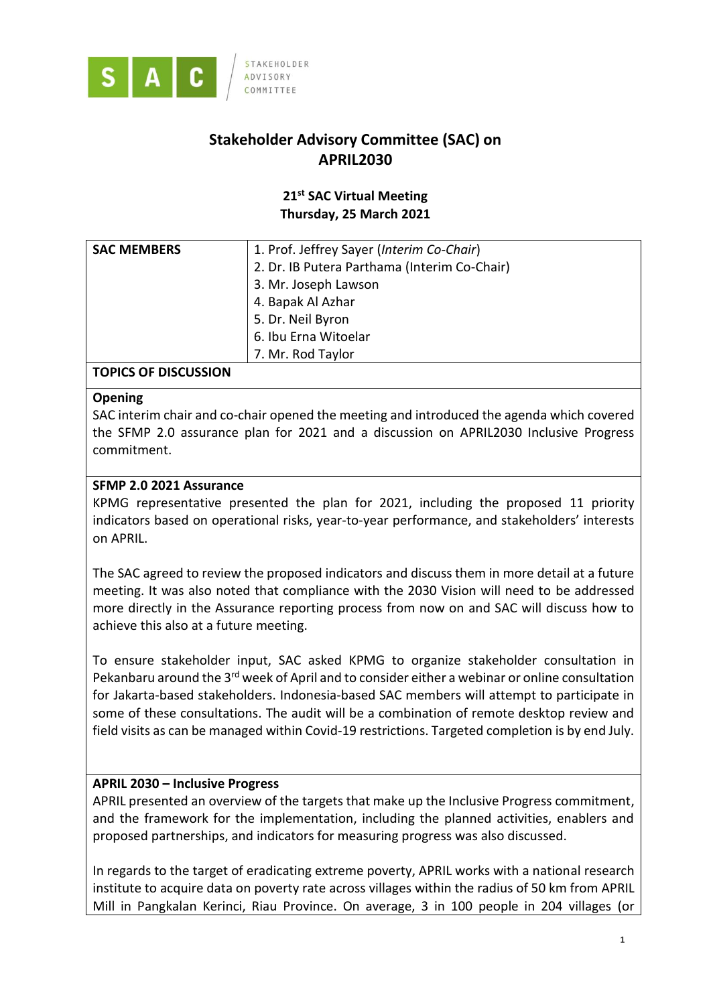

# **Stakeholder Advisory Committee (SAC) on APRIL2030**

# **21st SAC Virtual Meeting Thursday, 25 March 2021**

| <b>SAC MEMBERS</b> | 1. Prof. Jeffrey Sayer (Interim Co-Chair)    |
|--------------------|----------------------------------------------|
|                    | 2. Dr. IB Putera Parthama (Interim Co-Chair) |
|                    | 3. Mr. Joseph Lawson                         |
|                    | 4. Bapak Al Azhar                            |
|                    | 5. Dr. Neil Byron                            |
|                    | 6. Ibu Erna Witoelar                         |
|                    | 7. Mr. Rod Taylor                            |

# **TOPICS OF DISCUSSION**

### **Opening**

SAC interim chair and co-chair opened the meeting and introduced the agenda which covered the SFMP 2.0 assurance plan for 2021 and a discussion on APRIL2030 Inclusive Progress commitment.

# **SFMP 2.0 2021 Assurance**

KPMG representative presented the plan for 2021, including the proposed 11 priority indicators based on operational risks, year-to-year performance, and stakeholders' interests on APRIL.

The SAC agreed to review the proposed indicators and discuss them in more detail at a future meeting. It was also noted that compliance with the 2030 Vision will need to be addressed more directly in the Assurance reporting process from now on and SAC will discuss how to achieve this also at a future meeting.

To ensure stakeholder input, SAC asked KPMG to organize stakeholder consultation in Pekanbaru around the 3<sup>rd</sup> week of April and to consider either a webinar or online consultation for Jakarta-based stakeholders. Indonesia-based SAC members will attempt to participate in some of these consultations. The audit will be a combination of remote desktop review and field visits as can be managed within Covid-19 restrictions. Targeted completion is by end July.

# **APRIL 2030 – Inclusive Progress**

APRIL presented an overview of the targets that make up the Inclusive Progress commitment, and the framework for the implementation, including the planned activities, enablers and proposed partnerships, and indicators for measuring progress was also discussed.

In regards to the target of eradicating extreme poverty, APRIL works with a national research institute to acquire data on poverty rate across villages within the radius of 50 km from APRIL Mill in Pangkalan Kerinci, Riau Province. On average, 3 in 100 people in 204 villages (or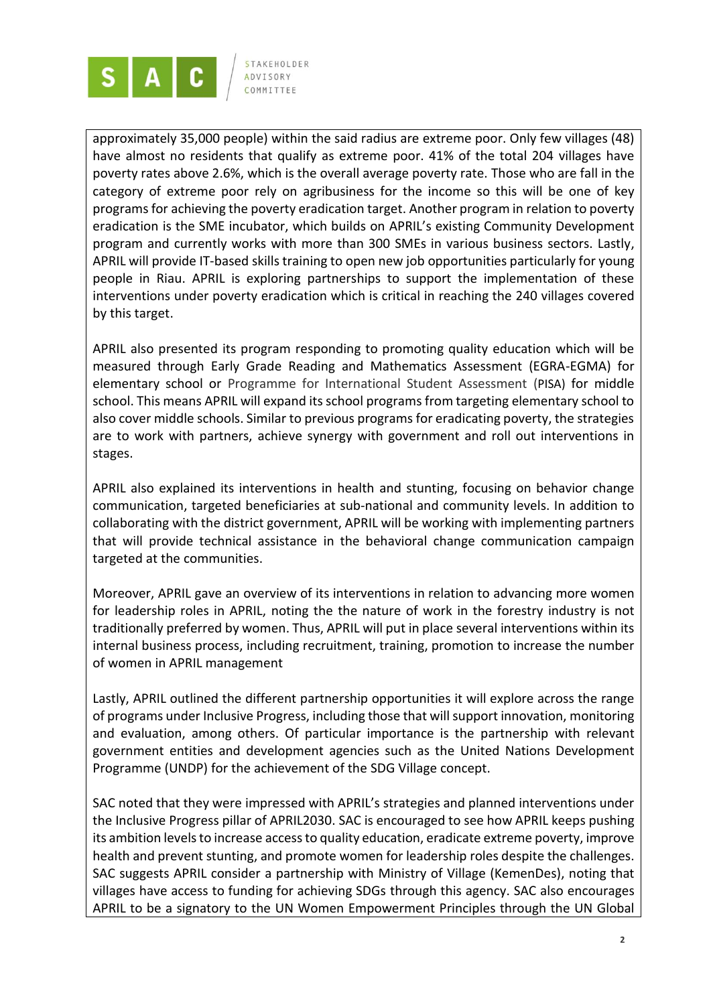

approximately 35,000 people) within the said radius are extreme poor. Only few villages (48) have almost no residents that qualify as extreme poor. 41% of the total 204 villages have poverty rates above 2.6%, which is the overall average poverty rate. Those who are fall in the category of extreme poor rely on agribusiness for the income so this will be one of key programs for achieving the poverty eradication target. Another program in relation to poverty eradication is the SME incubator, which builds on APRIL's existing Community Development program and currently works with more than 300 SMEs in various business sectors. Lastly, APRIL will provide IT-based skills training to open new job opportunities particularly for young people in Riau. APRIL is exploring partnerships to support the implementation of these interventions under poverty eradication which is critical in reaching the 240 villages covered by this target.

APRIL also presented its program responding to promoting quality education which will be measured through Early Grade Reading and Mathematics Assessment (EGRA-EGMA) for elementary school or Programme for International Student Assessment (PISA) for middle school. This means APRIL will expand its school programs from targeting elementary school to also cover middle schools. Similar to previous programs for eradicating poverty, the strategies are to work with partners, achieve synergy with government and roll out interventions in stages.

APRIL also explained its interventions in health and stunting, focusing on behavior change communication, targeted beneficiaries at sub-national and community levels. In addition to collaborating with the district government, APRIL will be working with implementing partners that will provide technical assistance in the behavioral change communication campaign targeted at the communities.

Moreover, APRIL gave an overview of its interventions in relation to advancing more women for leadership roles in APRIL, noting the the nature of work in the forestry industry is not traditionally preferred by women. Thus, APRIL will put in place several interventions within its internal business process, including recruitment, training, promotion to increase the number of women in APRIL management

Lastly, APRIL outlined the different partnership opportunities it will explore across the range of programs under Inclusive Progress, including those that will support innovation, monitoring and evaluation, among others. Of particular importance is the partnership with relevant government entities and development agencies such as the United Nations Development Programme (UNDP) for the achievement of the SDG Village concept.

SAC noted that they were impressed with APRIL's strategies and planned interventions under the Inclusive Progress pillar of APRIL2030. SAC is encouraged to see how APRIL keeps pushing its ambition levels to increase access to quality education, eradicate extreme poverty, improve health and prevent stunting, and promote women for leadership roles despite the challenges. SAC suggests APRIL consider a partnership with Ministry of Village (KemenDes), noting that villages have access to funding for achieving SDGs through this agency. SAC also encourages APRIL to be a signatory to the UN Women Empowerment Principles through the UN Global